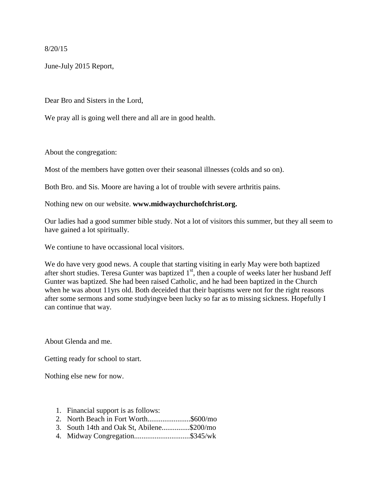8/20/15

June-July 2015 Report,

Dear Bro and Sisters in the Lord,

We pray all is going well there and all are in good health.

About the congregation:

Most of the members have gotten over their seasonal illnesses (colds and so on).

Both Bro. and Sis. Moore are having a lot of trouble with severe arthritis pains.

Nothing new on our website. **www.midwaychurchofchrist.org.** 

Our ladies had a good summer bible study. Not a lot of visitors this summer, but they all seem to have gained a lot spiritually.

We contiune to have occassional local visitors.

We do have very good news. A couple that starting visiting in early May were both baptized after short studies. Teresa Gunter was baptized  $1<sup>st</sup>$ , then a couple of weeks later her husband Jeff Gunter was baptized. She had been raised Catholic, and he had been baptized in the Church when he was about 11yrs old. Both deceided that their baptisms were not for the right reasons after some sermons and some studyingve been lucky so far as to missing sickness. Hopefully I can continue that way.

About Glenda and me.

Getting ready for school to start.

Nothing else new for now.

- 1. Financial support is as follows:
- 2. North Beach in Fort Worth...........................\$600/mo
- 3. South 14th and Oak St, Abilene...............\$200/mo
- 4. Midway Congregation..............................\$345/wk